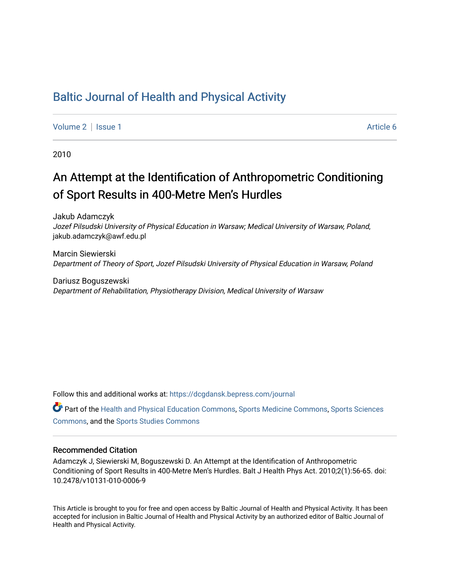## [Baltic Journal of Health and Physical Activity](https://dcgdansk.bepress.com/journal)

[Volume 2](https://dcgdansk.bepress.com/journal/vol2) | [Issue 1](https://dcgdansk.bepress.com/journal/vol2/iss1) Article 6

2010

# An Attempt at the Identification of Anthropometric Conditioning of Sport Results in 400-Metre Men's Hurdles

Jakub Adamczyk Jozef Pilsudski University of Physical Education in Warsaw; Medical University of Warsaw, Poland, jakub.adamczyk@awf.edu.pl

Marcin Siewierski Department of Theory of Sport, Jozef Pilsudski University of Physical Education in Warsaw, Poland

Dariusz Boguszewski Department of Rehabilitation, Physiotherapy Division, Medical University of Warsaw

Follow this and additional works at: [https://dcgdansk.bepress.com/journal](https://dcgdansk.bepress.com/journal?utm_source=dcgdansk.bepress.com%2Fjournal%2Fvol2%2Fiss1%2F6&utm_medium=PDF&utm_campaign=PDFCoverPages)

Part of the [Health and Physical Education Commons](http://network.bepress.com/hgg/discipline/1327?utm_source=dcgdansk.bepress.com%2Fjournal%2Fvol2%2Fiss1%2F6&utm_medium=PDF&utm_campaign=PDFCoverPages), [Sports Medicine Commons,](http://network.bepress.com/hgg/discipline/1331?utm_source=dcgdansk.bepress.com%2Fjournal%2Fvol2%2Fiss1%2F6&utm_medium=PDF&utm_campaign=PDFCoverPages) [Sports Sciences](http://network.bepress.com/hgg/discipline/759?utm_source=dcgdansk.bepress.com%2Fjournal%2Fvol2%2Fiss1%2F6&utm_medium=PDF&utm_campaign=PDFCoverPages) [Commons](http://network.bepress.com/hgg/discipline/759?utm_source=dcgdansk.bepress.com%2Fjournal%2Fvol2%2Fiss1%2F6&utm_medium=PDF&utm_campaign=PDFCoverPages), and the [Sports Studies Commons](http://network.bepress.com/hgg/discipline/1198?utm_source=dcgdansk.bepress.com%2Fjournal%2Fvol2%2Fiss1%2F6&utm_medium=PDF&utm_campaign=PDFCoverPages) 

#### Recommended Citation

Adamczyk J, Siewierski M, Boguszewski D. An Attempt at the Identification of Anthropometric Conditioning of Sport Results in 400-Metre Men's Hurdles. Balt J Health Phys Act. 2010;2(1):56-65. doi: 10.2478/v10131-010-0006-9

This Article is brought to you for free and open access by Baltic Journal of Health and Physical Activity. It has been accepted for inclusion in Baltic Journal of Health and Physical Activity by an authorized editor of Baltic Journal of Health and Physical Activity.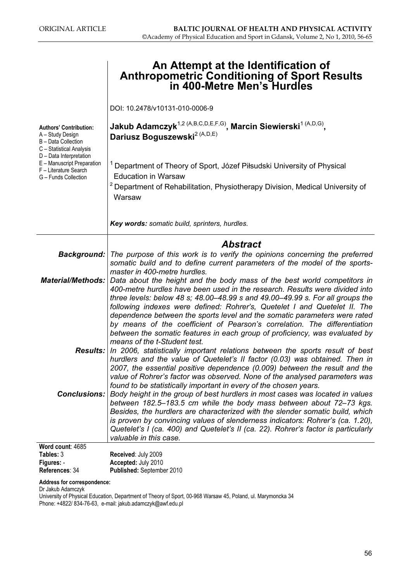|                                                                                                        | An Attempt at the Identification of<br><b>Anthropometric Conditioning of Sport Results</b><br>in 400-Metre Men's Hurdles                                                                                                                                                                                                                                                                                                                |  |  |  |  |  |
|--------------------------------------------------------------------------------------------------------|-----------------------------------------------------------------------------------------------------------------------------------------------------------------------------------------------------------------------------------------------------------------------------------------------------------------------------------------------------------------------------------------------------------------------------------------|--|--|--|--|--|
|                                                                                                        | DOI: 10.2478/v10131-010-0006-9                                                                                                                                                                                                                                                                                                                                                                                                          |  |  |  |  |  |
| <b>Authors' Contribution:</b><br>A - Study Design<br>B - Data Collection<br>C - Statistical Analysis   | Jakub Adamczyk <sup>1,2 (A,B,C,D,E,F,G)</sup> , Marcin Siewierski <sup>1 (A,D,G)</sup> ,<br>Dariusz Boguszewski <sup>2 (A,D,E)</sup>                                                                                                                                                                                                                                                                                                    |  |  |  |  |  |
| D - Data Interpretation<br>E - Manuscript Preparation<br>F - Literature Search<br>G - Funds Collection | Department of Theory of Sport, Józef Piłsudski University of Physical<br><b>Education in Warsaw</b><br><sup>2</sup> Department of Rehabilitation, Physiotherapy Division, Medical University of                                                                                                                                                                                                                                         |  |  |  |  |  |
|                                                                                                        | Warsaw                                                                                                                                                                                                                                                                                                                                                                                                                                  |  |  |  |  |  |
|                                                                                                        | Key words: somatic build, sprinters, hurdles.                                                                                                                                                                                                                                                                                                                                                                                           |  |  |  |  |  |
|                                                                                                        | <b>Abstract</b>                                                                                                                                                                                                                                                                                                                                                                                                                         |  |  |  |  |  |
| <b>Background:</b>                                                                                     | The purpose of this work is to verify the opinions concerning the preferred<br>somatic build and to define current parameters of the model of the sports-                                                                                                                                                                                                                                                                               |  |  |  |  |  |
| <b>Material/Methods:</b>                                                                               | master in 400-metre hurdles.<br>Data about the height and the body mass of the best world competitors in<br>400-metre hurdles have been used in the research. Results were divided into<br>three levels: below 48 s; 48.00–48.99 s and 49.00–49.99 s. For all groups the                                                                                                                                                                |  |  |  |  |  |
|                                                                                                        | following indexes were defined: Rohrer's, Quetelet I and Quetelet II. The<br>dependence between the sports level and the somatic parameters were rated<br>by means of the coefficient of Pearson's correlation. The differentiation<br>between the somatic features in each group of proficiency, was evaluated by<br>means of the t-Student test.                                                                                      |  |  |  |  |  |
|                                                                                                        | <b>Results:</b> In 2006, statistically important relations between the sports result of best<br>hurdlers and the value of Quetelet's II factor (0.03) was obtained. Then in<br>2007, the essential positive dependence (0.009) between the result and the<br>value of Rohrer's factor was observed. None of the analysed parameters was<br>found to be statistically important in every of the chosen years.                            |  |  |  |  |  |
| <b>Conclusions:</b>                                                                                    | Body height in the group of best hurdlers in most cases was located in values<br>between 182.5–183.5 cm while the body mass between about 72–73 kgs.<br>Besides, the hurdlers are characterized with the slender somatic build, which<br>is proven by convincing values of slenderness indicators: Rohrer's (ca. 1.20),<br>Quetelet's I (ca. 400) and Quetelet's II (ca. 22). Rohrer's factor is particularly<br>valuable in this case. |  |  |  |  |  |
| Word count: 4685<br>Tables: 3                                                                          | Received: July 2009                                                                                                                                                                                                                                                                                                                                                                                                                     |  |  |  |  |  |
| Figures: -                                                                                             | Accepted: July 2010                                                                                                                                                                                                                                                                                                                                                                                                                     |  |  |  |  |  |
| References: 34                                                                                         | Published: September 2010                                                                                                                                                                                                                                                                                                                                                                                                               |  |  |  |  |  |

#### Address for correspondence:

Dr Jakub Adamczyk University of Physical Education, Department of Theory of Sport, 00-968 Warsaw 45, Poland, ul. Marymoncka 34 Phone: +4822/ 834-76-63, e-mail: jakub.adamczyk@awf.edu.pl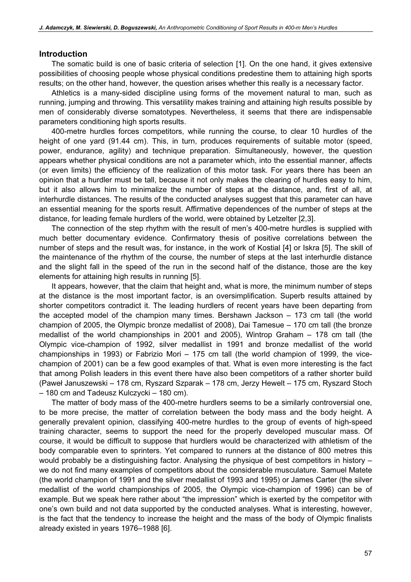#### Introduction

The somatic build is one of basic criteria of selection [1]. On the one hand, it gives extensive possibilities of choosing people whose physical conditions predestine them to attaining high sports results; on the other hand, however, the question arises whether this really is a necessary factor.

Athletics is a many-sided discipline using forms of the movement natural to man, such as running, jumping and throwing. This versatility makes training and attaining high results possible by men of considerably diverse somatotypes. Nevertheless, it seems that there are indispensable parameters conditioning high sports results.

400-metre hurdles forces competitors, while running the course, to clear 10 hurdles of the height of one yard (91.44 cm). This, in turn, produces requirements of suitable motor (speed, power, endurance, agility) and technique preparation. Simultaneously, however, the question appears whether physical conditions are not a parameter which, into the essential manner, affects (or even limits) the efficiency of the realization of this motor task. For years there has been an opinion that a hurdler must be tall, because it not only makes the clearing of hurdles easy to him, but it also allows him to minimalize the number of steps at the distance, and, first of all, at interhurdle distances. The results of the conducted analyses suggest that this parameter can have an essential meaning for the sports result. Affirmative dependences of the number of steps at the distance, for leading female hurdlers of the world, were obtained by Letzelter [2,3].

The connection of the step rhythm with the result of men's 400-metre hurdles is supplied with much better documentary evidence. Confirmatory thesis of positive correlations between the number of steps and the result was, for instance, in the work of Kostial [4] or Iskra [5]. The skill of the maintenance of the rhythm of the course, the number of steps at the last interhurdle distance and the slight fall in the speed of the run in the second half of the distance, those are the key elements for attaining high results in running [5].

It appears, however, that the claim that height and, what is more, the minimum number of steps at the distance is the most important factor, is an oversimplification. Superb results attained by shorter competitors contradict it. The leading hurdlers of recent years have been departing from the accepted model of the champion many times. Bershawn Jackson – 173 cm tall (the world champion of 2005, the Olympic bronze medallist of 2008), Dai Tamesue – 170 cm tall (the bronze medallist of the world championships in 2001 and 2005), Wintrop Graham – 178 cm tall (the Olympic vice-champion of 1992, silver medallist in 1991 and bronze medallist of the world championships in 1993) or Fabrizio Mori – 175 cm tall (the world champion of 1999, the vicechampion of 2001) can be a few good examples of that. What is even more interesting is the fact that among Polish leaders in this event there have also been competitors of a rather shorter build (Paweł Januszewski – 178 cm, Ryszard Szparak – 178 cm, Jerzy Hewelt – 175 cm, Ryszard Stoch – 180 cm and Tadeusz Kulczycki – 180 cm).

The matter of body mass of the 400-metre hurdlers seems to be a similarly controversial one, to be more precise, the matter of correlation between the body mass and the body height. A generally prevalent opinion, classifying 400-metre hurdles to the group of events of high-speed training character, seems to support the need for the properly developed muscular mass. Of course, it would be difficult to suppose that hurdlers would be characterized with athletism of the body comparable even to sprinters. Yet compared to runners at the distance of 800 metres this would probably be a distinguishing factor. Analysing the physique of best competitors in history – we do not find many examples of competitors about the considerable musculature. Samuel Matete (the world champion of 1991 and the silver medallist of 1993 and 1995) or James Carter (the silver medallist of the world championships of 2005, the Olympic vice-champion of 1996) can be of example. But we speak here rather about "the impression" which is exerted by the competitor with one's own build and not data supported by the conducted analyses. What is interesting, however, is the fact that the tendency to increase the height and the mass of the body of Olympic finalists already existed in years 1976–1988 [6].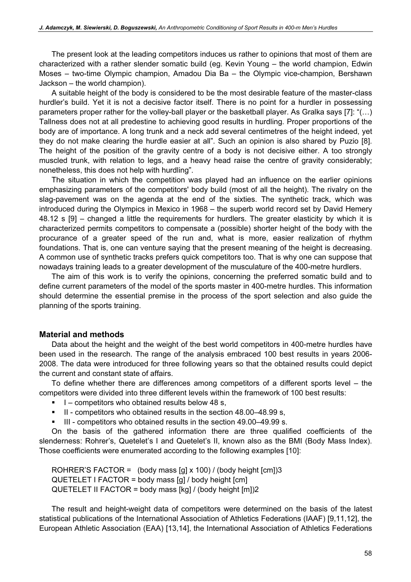The present look at the leading competitors induces us rather to opinions that most of them are characterized with a rather slender somatic build (eg. Kevin Young – the world champion, Edwin Moses – two-time Olympic champion, Amadou Dia Ba – the Olympic vice-champion, Bershawn Jackson – the world champion).

A suitable height of the body is considered to be the most desirable feature of the master-class hurdler's build. Yet it is not a decisive factor itself. There is no point for a hurdler in possessing parameters proper rather for the volley-ball player or the basketball player. As Gralka says [7]: "(…) Tallness does not at all predestine to achieving good results in hurdling. Proper proportions of the body are of importance. A long trunk and a neck add several centimetres of the height indeed, yet they do not make clearing the hurdle easier at all". Such an opinion is also shared by Puzio [8]. The height of the position of the gravity centre of a body is not decisive either. A too strongly muscled trunk, with relation to legs, and a heavy head raise the centre of gravity considerably; nonetheless, this does not help with hurdling".

The situation in which the competition was played had an influence on the earlier opinions emphasizing parameters of the competitors' body build (most of all the height). The rivalry on the slag-pavement was on the agenda at the end of the sixties. The synthetic track, which was introduced during the Olympics in Mexico in 1968 – the superb world record set by David Hemery 48.12 s [9] – changed a little the requirements for hurdlers. The greater elasticity by which it is characterized permits competitors to compensate a (possible) shorter height of the body with the procurance of a greater speed of the run and, what is more, easier realization of rhythm foundations. That is, one can venture saying that the present meaning of the height is decreasing. A common use of synthetic tracks prefers quick competitors too. That is why one can suppose that nowadays training leads to a greater development of the musculature of the 400-metre hurdlers.

The aim of this work is to verify the opinions, concerning the preferred somatic build and to define current parameters of the model of the sports master in 400-metre hurdles. This information should determine the essential premise in the process of the sport selection and also guide the planning of the sports training.

#### Material and methods

Data about the height and the weight of the best world competitors in 400-metre hurdles have been used in the research. The range of the analysis embraced 100 best results in years 2006- 2008. The data were introduced for three following years so that the obtained results could depict the current and constant state of affairs.

To define whether there are differences among competitors of a different sports level – the competitors were divided into three different levels within the framework of 100 best results:

- -I – competitors who obtained results below 48 s,
- II competitors who obtained results in the section 48.00–48.99 s,
- -III - competitors who obtained results in the section 49.00–49.99 s.

On the basis of the gathered information there are three qualified coefficients of the slenderness: Rohrer's, Quetelet's I and Quetelet's II, known also as the BMI (Body Mass Index). Those coefficients were enumerated according to the following examples [10]:

ROHRER'S FACTOR = (body mass  $\left[\text{gl} \times 100\right]$  / (body height  $\left[\text{cm}\right]$ )3  $QUETELET I FACTOR = body mass [g] / body height [cm]$ QUETELET II FACTOR = body mass [kg] / (body height [m])2

The result and height-weight data of competitors were determined on the basis of the latest statistical publications of the International Association of Athletics Federations (IAAF) [9,11,12], the European Athletic Association (EAA) [13,14], the International Association of Athletics Federations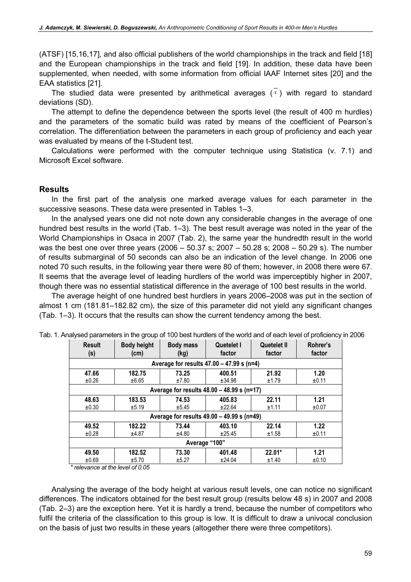(ATSF) [15,16,17], and also official publishers of the world championships in the track and field [18] and the European championships in the track and field [19]. In addition, these data have been supplemented, when needed, with some information from official IAAF Internet sites [20] and the EAA statistics [21].

The studied data were presented by arithmetical averages  $(\overline{x})$  with regard to standard deviations (SD).

The attempt to define the dependence between the sports level (the result of 400 m hurdles) and the parameters of the somatic build was rated by means of the coefficient of Pearson's correlation. The differentiation between the parameters in each group of proficiency and each year was evaluated by means of the t-Student test.

Calculations were performed with the computer technique using Statistica (v. 7.1) and Microsoft Excel software.

#### **Results**

In the first part of the analysis one marked average values for each parameter in the successive seasons. These data were presented in Tables 1–3.

In the analysed years one did not note down any considerable changes in the average of one hundred best results in the world (Tab. 1–3). The best result average was noted in the year of the World Championships in Osaca in 2007 (Tab. 2), the same year the hundredth result in the world was the best one over three years (2006 – 50.37 s; 2007 – 50.28 s; 2008 – 50.29 s). The number of results submarginal of 50 seconds can also be an indication of the level change. In 2006 one noted 70 such results, in the following year there were 80 of them; however, in 2008 there were 67. It seems that the average level of leading hurdlers of the world was imperceptibly higher in 2007, though there was no essential statistical difference in the average of 100 best results in the world.

The average height of one hundred best hurdlers in years 2006–2008 was put in the section of almost 1 cm (181.81–182.82 cm), the size of this parameter did not yield any significant changes (Tab. 1–3). It occurs that the results can show the current tendency among the best.

| <b>Result</b><br>(s) | <b>Body height</b><br>(cm)                 | <b>Body mass</b><br>(kg) | Quetelet I<br>factor | Quetelet II<br>factor | Rohrer's<br>factor |  |
|----------------------|--------------------------------------------|--------------------------|----------------------|-----------------------|--------------------|--|
|                      | Average for results 47.00 - 47.99 s (n=4)  |                          |                      |                       |                    |  |
| 47.66                | 182.75                                     | 73.25                    | 400.51               | 21.92                 | 1.20               |  |
| ±0.26                | ±6.65                                      | ±7.80                    | ±34.98               | ±1.79                 | ±0.11              |  |
|                      | Average for results 48.00 - 48.99 s (n=17) |                          |                      |                       |                    |  |
| 48.63                | 183.53                                     | 74.53                    | 405.83               | 22.11                 | 1.21               |  |
| ±0.30                | ±5.19                                      | ±5.45                    | ±22.64               | ±1.11                 | ±0.07              |  |
|                      | Average for results 49.00 - 49.99 s (n=49) |                          |                      |                       |                    |  |
| 49.52                | 182.22                                     | 73.44                    | 403.10               | 22.14                 | 1.22               |  |
| ±0.28                | ±4.87                                      | ±4.80                    | ±25.45               | ±1.58                 | ±0.11              |  |
| Average "100"        |                                            |                          |                      |                       |                    |  |
| 49.50                | 182.52                                     | 73.30                    | 401.48               | 22.01*                | 1.21               |  |
| ±0.69                | ±5.70                                      | ±5.27                    | ±24.04               | ±1.40                 | ±0.10              |  |

Tab. 1. Analysed parameters in the group of 100 best hurdlers of the world and of each level of proficiency in 2006

\* relevance at the level of 0.05

Analysing the average of the body height at various result levels, one can notice no significant differences. The indicators obtained for the best result group (results below 48 s) in 2007 and 2008 (Tab. 2–3) are the exception here. Yet it is hardly a trend, because the number of competitors who fulfil the criteria of the classification to this group is low. It is difficult to draw a univocal conclusion on the basis of just two results in these years (altogether there were three competitors).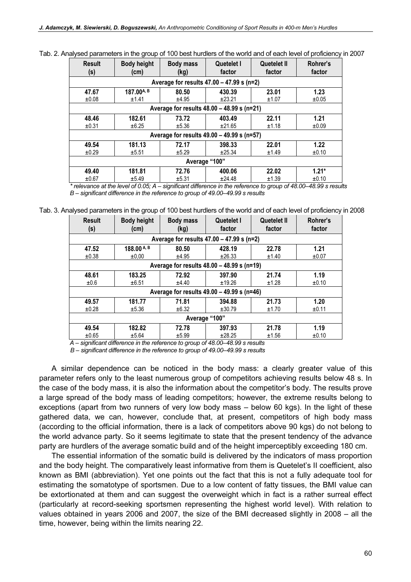| <b>Result</b><br>(s)                       | <b>Body height</b><br>(cm)                  | <b>Body mass</b><br>(kg) | Quetelet I<br>factor | Quetelet II<br>factor | Rohrer's<br>factor |  |
|--------------------------------------------|---------------------------------------------|--------------------------|----------------------|-----------------------|--------------------|--|
|                                            | Average for results $47.00 - 47.99$ s (n=2) |                          |                      |                       |                    |  |
| 47.67                                      | 187.00A, B                                  | 80.50                    | 430.39               | 23.01                 | 1.23               |  |
| ±0.08                                      | ±1.41                                       | ±4.95                    | ±23.21               | ±1.07                 | ±0.05              |  |
|                                            | Average for results 48.00 - 48.99 s (n=21)  |                          |                      |                       |                    |  |
| 48.46                                      | 182.61                                      | 73.72                    | 403.49               | 22.11                 | 1.21               |  |
| ±0.31                                      | $\pm 6.25$                                  | ±5.36                    | ±21.65               | ±1.18                 | ±0.09              |  |
| Average for results 49.00 - 49.99 s (n=57) |                                             |                          |                      |                       |                    |  |
| 49.54                                      | 181.13                                      | 72.17                    | 398.33               | 22.01                 | 1.22               |  |
| ±0.29                                      | ±5.51                                       | ±5.29                    | ±25.34               | ±1.49                 | ±0.10              |  |
| Average "100"                              |                                             |                          |                      |                       |                    |  |
| 49.40                                      | 181.81                                      | 72.76                    | 400.06               | 22.02                 | $1.21*$            |  |
| ±0.67                                      | ±5.49                                       | ±5.31                    | ±24.48               | ±1.39                 | ±0.10              |  |

Tab. 2. Analysed parameters in the group of 100 best hurdlers of the world and of each level of proficiency in 2007

 $*$  relevance at the level of 0.05; A – significant difference in the reference to group of 48.00–48.99 s results B – significant difference in the reference to group of 49.00–49.99 s results

Tab. 3. Analysed parameters in the group of 100 best hurdlers of the world and of each level of proficiency in 2008

| <b>Result</b><br>(s)                        | <b>Body height</b><br>(cm) | <b>Body mass</b><br>(kg) | Quetelet I<br>factor | Quetelet II<br>factor | Rohrer's<br>factor |  |
|---------------------------------------------|----------------------------|--------------------------|----------------------|-----------------------|--------------------|--|
| Average for results $47.00 - 47.99$ s (n=2) |                            |                          |                      |                       |                    |  |
| 47.52                                       | 188.00 A, B                | 80.50                    | 428.19               | 22.78                 | 1.21               |  |
| ±0.38                                       | ±0,00                      | ±4.95                    | ±26.33               | ±1.40                 | ±0.07              |  |
| Average for results 48.00 - 48.99 s (n=19)  |                            |                          |                      |                       |                    |  |
| 48.61                                       | 183.25                     | 72.92                    | 397.90               | 21.74                 | 1.19               |  |
| ±0.6                                        | ±6.51                      | ±4.40                    | ±19.26               | ±1.28                 | ±0.10              |  |
| Average for results 49.00 - 49.99 s (n=46)  |                            |                          |                      |                       |                    |  |
| 49.57                                       | 181.77                     | 71.81                    | 394.88               | 21.73                 | 1.20               |  |
| ±0.28                                       | ±5.36                      | ±6.32                    | ±30.79               | ±1.70                 | ±0.11              |  |
| Average "100"                               |                            |                          |                      |                       |                    |  |
| 49.54                                       | 182.82                     | 72.78                    | 397.93               | 21.78                 | 1.19               |  |
| $\pm 0.65$                                  | ±5.64                      | ±5.99                    | ±28.25               | ±1.56                 | ±0.10              |  |

 $\overline{A}$  – significant difference in the reference to group of 48.00–48.99 s results

B – significant difference in the reference to group of 49.00–49.99 s results

A similar dependence can be noticed in the body mass: a clearly greater value of this parameter refers only to the least numerous group of competitors achieving results below 48 s. In the case of the body mass, it is also the information about the competitor's body. The results prove a large spread of the body mass of leading competitors; however, the extreme results belong to exceptions (apart from two runners of very low body mass – below 60 kgs). In the light of these gathered data, we can, however, conclude that, at present, competitors of high body mass (according to the official information, there is a lack of competitors above 90 kgs) do not belong to the world advance party. So it seems legitimate to state that the present tendency of the advance party are hurdlers of the average somatic build and of the height imperceptibly exceeding 180 cm.

The essential information of the somatic build is delivered by the indicators of mass proportion and the body height. The comparatively least informative from them is Quetelet's II coefficient, also known as BMI (abbreviation). Yet one points out the fact that this is not a fully adequate tool for estimating the somatotype of sportsmen. Due to a low content of fatty tissues, the BMI value can be extortionated at them and can suggest the overweight which in fact is a rather surreal effect (particularly at record-seeking sportsmen representing the highest world level). With relation to values obtained in years 2006 and 2007, the size of the BMI decreased slightly in 2008 – all the time, however, being within the limits nearing 22.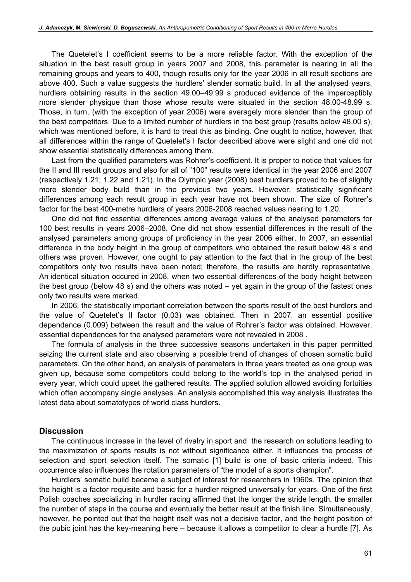The Quetelet's I coefficient seems to be a more reliable factor. With the exception of the situation in the best result group in years 2007 and 2008, this parameter is nearing in all the remaining groups and years to 400, though results only for the year 2006 in all result sections are above 400. Such a value suggests the hurdlers' slender somatic build. In all the analysed years, hurdlers obtaining results in the section 49.00–49.99 s produced evidence of the imperceptibly more slender physique than those whose results were situated in the section 48.00-48.99 s. Those, in turn, (with the exception of year 2006) were averagely more slender than the group of the best competitors. Due to a limited number of hurdlers in the best group (results below 48.00 s), which was mentioned before, it is hard to treat this as binding. One ought to notice, however, that all differences within the range of Quetelet's I factor described above were slight and one did not show essential statistically differences among them.

Last from the qualified parameters was Rohrer's coefficient. It is proper to notice that values for the II and III result groups and also for all of "100" results were identical in the year 2006 and 2007 (respectively 1.21; 1.22 and 1.21). In the Olympic year (2008) best hurdlers proved to be of slightly more slender body build than in the previous two years. However, statistically significant differences among each result group in each year have not been shown. The size of Rohrer's factor for the best 400-metre hurdlers of years 2006-2008 reached values nearing to 1.20.

One did not find essential differences among average values of the analysed parameters for 100 best results in years 2006–2008. One did not show essential differences in the result of the analysed parameters among groups of proficiency in the year 2006 either. In 2007, an essential difference in the body height in the group of competitors who obtained the result below 48 s and others was proven. However, one ought to pay attention to the fact that in the group of the best competitors only two results have been noted; therefore, the results are hardly representative. An identical situation occured in 2008, when two essential differences of the body height between the best group (below 48 s) and the others was noted – yet again in the group of the fastest ones only two results were marked.

In 2006, the statistically important correlation between the sports result of the best hurdlers and the value of Quetelet's II factor (0.03) was obtained. Then in 2007, an essential positive dependence (0.009) between the result and the value of Rohrer's factor was obtained. However, essential dependences for the analysed parameters were not revealed in 2008 .

The formula of analysis in the three successive seasons undertaken in this paper permitted seizing the current state and also observing a possible trend of changes of chosen somatic build parameters. On the other hand, an analysis of parameters in three years treated as one group was given up, because some competitors could belong to the world's top in the analysed period in every year, which could upset the gathered results. The applied solution allowed avoiding fortuities which often accompany single analyses. An analysis accomplished this way analysis illustrates the latest data about somatotypes of world class hurdlers.

#### **Discussion**

The continuous increase in the level of rivalry in sport and the research on solutions leading to the maximization of sports results is not without significance either. It influences the process of selection and sport selection itself. The somatic [1] build is one of basic criteria indeed. This occurrence also influences the rotation parameters of "the model of a sports champion".

Hurdlers' somatic build became a subject of interest for researchers in 1960s. The opinion that the height is a factor requisite and basic for a hurdler reigned universally for years. One of the first Polish coaches specializing in hurdler racing affirmed that the longer the stride length, the smaller the number of steps in the course and eventually the better result at the finish line. Simultaneously, however, he pointed out that the height itself was not a decisive factor, and the height position of the pubic joint has the key-meaning here – because it allows a competitor to clear a hurdle [7]. As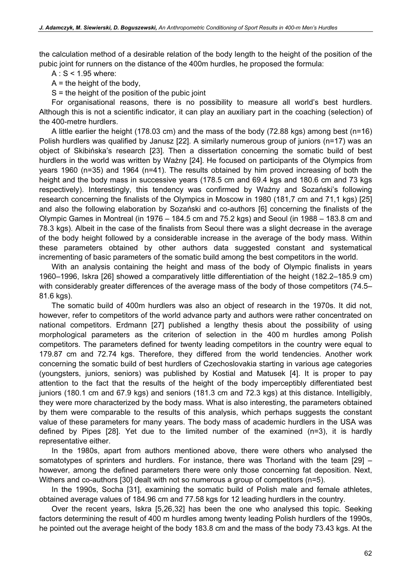the calculation method of a desirable relation of the body length to the height of the position of the pubic joint for runners on the distance of the 400m hurdles, he proposed the formula:

 $A: S < 1.95$  where:

 $A =$  the height of the body,

 $S =$  the height of the position of the pubic joint

For organisational reasons, there is no possibility to measure all world's best hurdlers. Although this is not a scientific indicator, it can play an auxiliary part in the coaching (selection) of the 400-metre hurdlers.

A little earlier the height (178.03 cm) and the mass of the body (72.88 kgs) among best (n=16) Polish hurdlers was qualified by Janusz [22]. A similarly numerous group of juniors (n=17) was an object of Skibińska's research [23]. Then a dissertation concerning the somatic build of best hurdlers in the world was written by Ważny [24]. He focused on participants of the Olympics from years 1960 (n=35) and 1964 (n=41). The results obtained by him proved increasing of both the height and the body mass in successive years (178.5 cm and 69.4 kgs and 180.6 cm and 73 kgs respectively). Interestingly, this tendency was confirmed by Ważny and Sozański's following research concerning the finalists of the Olympics in Moscow in 1980 (181,7 cm and 71,1 kgs) [25] and also the following elaboration by Sozański and co-authors [6] concerning the finalists of the Olympic Games in Montreal (in 1976 – 184.5 cm and 75.2 kgs) and Seoul (in 1988 – 183.8 cm and 78.3 kgs). Albeit in the case of the finalists from Seoul there was a slight decrease in the average of the body height followed by a considerable increase in the average of the body mass. Within these parameters obtained by other authors data suggested constant and systematical incrementing of basic parameters of the somatic build among the best competitors in the world.

With an analysis containing the height and mass of the body of Olympic finalists in years 1960–1996, Iskra [26] showed a comparatively little differentiation of the height (182.2–185.9 cm) with considerably greater differences of the average mass of the body of those competitors (74.5– 81.6 kgs).

The somatic build of 400m hurdlers was also an object of research in the 1970s. It did not, however, refer to competitors of the world advance party and authors were rather concentrated on national competitors. Erdmann [27] published a lengthy thesis about the possibility of using morphological parameters as the criterion of selection in the 400 m hurdles among Polish competitors. The parameters defined for twenty leading competitors in the country were equal to 179.87 cm and 72.74 kgs. Therefore, they differed from the world tendencies. Another work concerning the somatic build of best hurdlers of Czechoslovakia starting in various age categories (youngsters, juniors, seniors) was published by Kostial and Matusek [4]. It is proper to pay attention to the fact that the results of the height of the body imperceptibly differentiated best juniors (180.1 cm and 67.9 kgs) and seniors (181.3 cm and 72.3 kgs) at this distance. Intelligibly, they were more characterized by the body mass. What is also interesting, the parameters obtained by them were comparable to the results of this analysis, which perhaps suggests the constant value of these parameters for many years. The body mass of academic hurdlers in the USA was defined by Pipes [28]. Yet due to the limited number of the examined (n=3), it is hardly representative either.

In the 1980s, apart from authors mentioned above, there were others who analysed the somatotypes of sprinters and hurdlers. For instance, there was Thorland with the team [29] – however, among the defined parameters there were only those concerning fat deposition. Next, Withers and co-authors [30] dealt with not so numerous a group of competitors (n=5).

In the 1990s, Socha [31], examining the somatic build of Polish male and female athletes, obtained average values of 184.96 cm and 77.58 kgs for 12 leading hurdlers in the country.

Over the recent years, Iskra [5,26,32] has been the one who analysed this topic. Seeking factors determining the result of 400 m hurdles among twenty leading Polish hurdlers of the 1990s, he pointed out the average height of the body 183.8 cm and the mass of the body 73.43 kgs. At the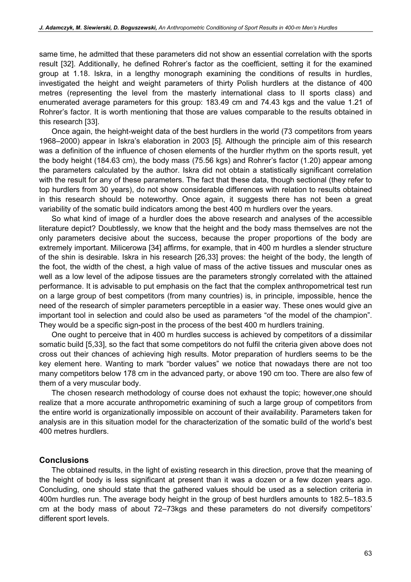same time, he admitted that these parameters did not show an essential correlation with the sports result [32]. Additionally, he defined Rohrer's factor as the coefficient, setting it for the examined group at 1.18. Iskra, in a lengthy monograph examining the conditions of results in hurdles, investigated the height and weight parameters of thirty Polish hurdlers at the distance of 400 metres (representing the level from the masterly international class to II sports class) and enumerated average parameters for this group: 183.49 cm and 74.43 kgs and the value 1.21 of Rohrer's factor. It is worth mentioning that those are values comparable to the results obtained in this research [33].

Once again, the height-weight data of the best hurdlers in the world (73 competitors from years 1968–2000) appear in Iskra's elaboration in 2003 [5]. Although the principle aim of this research was a definition of the influence of chosen elements of the hurdler rhythm on the sports result, yet the body height (184.63 cm), the body mass (75.56 kgs) and Rohrer's factor (1.20) appear among the parameters calculated by the author. Iskra did not obtain a statistically significant correlation with the result for any of these parameters. The fact that these data, though sectional (they refer to top hurdlers from 30 years), do not show considerable differences with relation to results obtained in this research should be noteworthy. Once again, it suggests there has not been a great variability of the somatic build indicators among the best 400 m hurdlers over the years.

So what kind of image of a hurdler does the above research and analyses of the accessible literature depict? Doubtlessly, we know that the height and the body mass themselves are not the only parameters decisive about the success, because the proper proportions of the body are extremely important. Milicerowa [34] affirms, for example, that in 400 m hurdles a slender structure of the shin is desirable. Iskra in his research [26,33] proves: the height of the body, the length of the foot, the width of the chest, a high value of mass of the active tissues and muscular ones as well as a low level of the adipose tissues are the parameters strongly correlated with the attained performance. It is advisable to put emphasis on the fact that the complex anthropometrical test run on a large group of best competitors (from many countries) is, in principle, impossible, hence the need of the research of simpler parameters perceptible in a easier way. These ones would give an important tool in selection and could also be used as parameters "of the model of the champion". They would be a specific sign-post in the process of the best 400 m hurdlers training.

One ought to perceive that in 400 m hurdles success is achieved by competitors of a dissimilar somatic build [5,33], so the fact that some competitors do not fulfil the criteria given above does not cross out their chances of achieving high results. Motor preparation of hurdlers seems to be the key element here. Wanting to mark "border values" we notice that nowadays there are not too many competitors below 178 cm in the advanced party, or above 190 cm too. There are also few of them of a very muscular body.

The chosen research methodology of course does not exhaust the topic; however,one should realize that a more accurate anthropometric examining of such a large group of competitors from the entire world is organizationally impossible on account of their availability. Parameters taken for analysis are in this situation model for the characterization of the somatic build of the world's best 400 metres hurdlers.

#### **Conclusions**

The obtained results, in the light of existing research in this direction, prove that the meaning of the height of body is less significant at present than it was a dozen or a few dozen years ago. Concluding, one should state that the gathered values should be used as a selection criteria in 400m hurdles run. The average body height in the group of best hurdlers amounts to 182.5–183.5 cm at the body mass of about 72–73kgs and these parameters do not diversify competitors' different sport levels.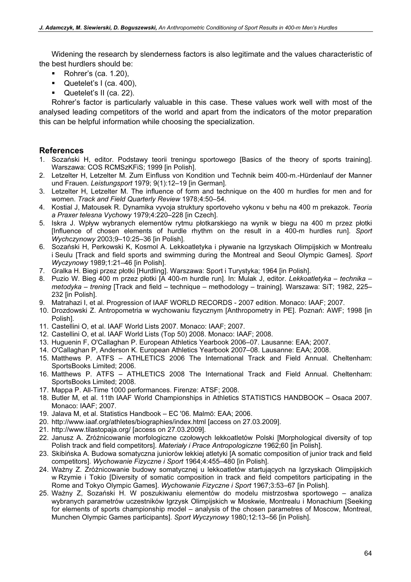Widening the research by slenderness factors is also legitimate and the values characteristic of the best hurdlers should be:

- Rohrer's (ca. 1.20),
- Quetelet's I (ca. 400),
- Quetelet's II (ca. 22).

Rohrer's factor is particularly valuable in this case. These values work well with most of the analysed leading competitors of the world and apart from the indicators of the motor preparation this can be helpful information while choosing the specialization.

### References

- 1. Sozański H, editor. Podstawy teorii treningu sportowego [Basics of the theory of sports training]. Warszawa: COS RCMSzKFiS; 1999 [in Polish].
- 2. Letzelter H, Letzelter M. Zum Einfluss von Kondition und Technik beim 400-m.-Hürdenlauf der Manner und Frauen. Leistungsport 1979; 9(1):12–19 [in German].
- 3. Letzelter H, Letzelter M. The influence of form and technique on the 400 m hurdles for men and for women. Track and Field Quarterly Review 1978;4:50–54.
- 4. Kostial J, Matousek R. Dynamika vyvoja struktury sportoveho vykonu v behu na 400 m prekazok. Teoria a Praxer telesna Vychowy 1979;4:220–228 [in Czech].
- 5. Iskra J. Wpływ wybranych elementów rytmu płotkarskiego na wynik w biegu na 400 m przez płotki [Influence of chosen elements of hurdle rhythm on the result in a 400-m hurdles run]. Sport Wychczynowy 2003;9–10:25–36 [in Polish].
- 6. Sozański H, Perkowski K, Kosmol A. Lekkoatletyka i pływanie na Igrzyskach Olimpijskich w Montrealu i Seulu [Track and field sports and swimming during the Montreal and Seoul Olympic Games]. Sport Wyczynowy 1989;1:21–46 [in Polish].
- 7. Gralka H. Biegi przez płotki [Hurdling]. Warszawa: Sport i Turystyka; 1964 [in Polish].
- 8. Puzio W. Bieg 400 m przez płotki [A 400-m hurdle run]. In: Mulak J, editor. Lekkoatletyka technika metodyka – trening [Track and field – technique – methodology – training]. Warszawa: SiT; 1982, 225– 232 [in Polish].
- 9. Matrahazi I, et al. Progression of IAAF WORLD RECORDS 2007 edition. Monaco: IAAF; 2007.
- 10. Drozdowski Z. Antropometria w wychowaniu fizycznym [Anthropometry in PE]. Poznań: AWF; 1998 [in Polish].
- 11. Castellini O, et al. IAAF World Lists 2007. Monaco: IAAF; 2007.
- 12. Castellini O, et al. IAAF World Lists (Top 50) 2008. Monaco: IAAF; 2008.
- 13. Huguenin F, O'Callaghan P. European Athletics Yearbook 2006–07. Lausanne: EAA; 2007.
- 14. O'Callaghan P, Anderson K. European Athletics Yearbook 2007–08. Lausanne: EAA; 2008.
- 15. Matthews P. ATFS ATHLETICS 2006 The International Track and Field Annual. Cheltenham: SportsBooks Limited; 2006.
- 16. Matthews P. ATFS ATHLETICS 2008 The International Track and Field Annual. Cheltenham: SportsBooks Limited; 2008.
- 17. Mappa P. All-Time 1000 performances. Firenze: ATSF; 2008.
- 18. Butler M, et al. 11th IAAF World Championships in Athletics STATISTICS HANDBOOK Osaca 2007. Monaco: IAAF; 2007.
- 19. Jalava M, et al. Statistics Handbook EC '06. Malmö: EAA; 2006.
- 20. http://www.iaaf.org/athletes/biographies/index.html [access on 27.03.2009].
- 21. http://www.tilastopaja.org/ [access on 27.03.2009].
- 22. Janusz A. Zróżnicowanie morfologiczne czołowych lekkoatletów Polski [Morphological diversity of top Polish track and field competitors]. Materiały i Prace Antropologiczne 1962;60 [in Polish].
- 23. Skibińska A. Budowa somatyczna juniorów lekkiej atletyki [A somatic composition of junior track and field competitors]. Wychowanie Fizyczne i Sport 1964;4:455–480 [in Polish].
- 24. Ważny Z. Zróżnicowanie budowy somatycznej u lekkoatletów startujących na Igrzyskach Olimpijskich w Rzymie i Tokio [Diversity of somatic composition in track and field competitors participating in the Rome and Tokyo Olympic Games]. Wychowanie Fizyczne i Sport 1967;3:53–67 [in Polish].
- 25. Ważny Z, Sozański H. W poszukiwaniu elementów do modelu mistrzostwa sportowego analiza wybranych parametrów uczestników Igrzysk Olimpijskich w Moskwie, Montrealu i Monachium [Seeking for elements of sports championship model – analysis of the chosen parametres of Moscow, Montreal, Munchen Olympic Games participants]. Sport Wyczynowy 1980;12:13–56 [in Polish].